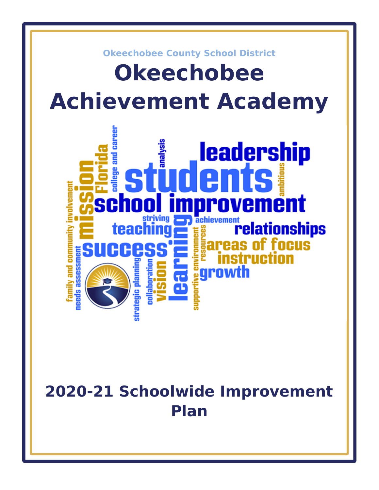

# **2020-21 Schoolwide Improvement Plan**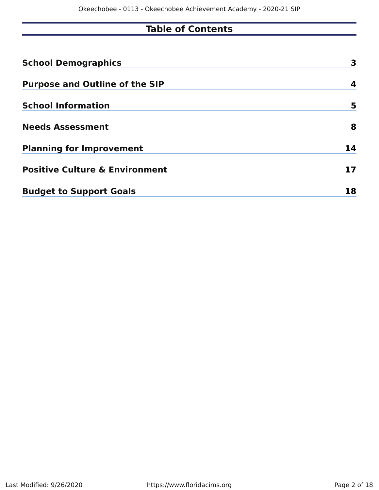# **Table of Contents**

| <b>School Demographics</b>                | 3  |
|-------------------------------------------|----|
| <b>Purpose and Outline of the SIP</b>     | 4  |
| <b>School Information</b>                 | 5  |
| <b>Needs Assessment</b>                   | 8  |
| <b>Planning for Improvement</b>           | 14 |
| <b>Positive Culture &amp; Environment</b> | 17 |
| <b>Budget to Support Goals</b>            | 18 |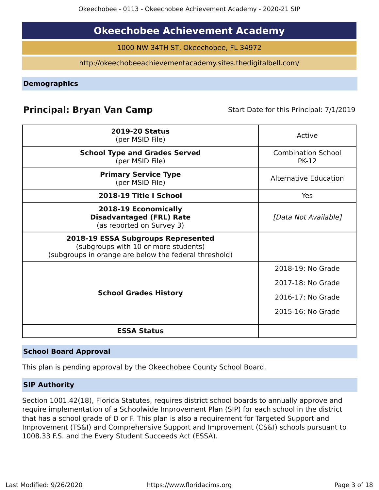# **Okeechobee Achievement Academy**

1000 NW 34TH ST, Okeechobee, FL 34972

http://okeechobeeachievementacademy.sites.thedigitalbell.com/

<span id="page-2-0"></span>**Demographics**

# **Principal: Bryan Van Camp** Start Date for this Principal: 7/1/2019

| <b>ESSA Status</b>                                                                                                                  |                                                                                  |
|-------------------------------------------------------------------------------------------------------------------------------------|----------------------------------------------------------------------------------|
| <b>School Grades History</b>                                                                                                        | 2018-19: No Grade<br>2017-18: No Grade<br>2016-17: No Grade<br>2015-16: No Grade |
| 2018-19 ESSA Subgroups Represented<br>(subgroups with 10 or more students)<br>(subgroups in orange are below the federal threshold) |                                                                                  |
| 2018-19 Economically<br><b>Disadvantaged (FRL) Rate</b><br>(as reported on Survey 3)                                                | [Data Not Available]                                                             |
| 2018-19 Title I School                                                                                                              | Yes                                                                              |
| <b>Primary Service Type</b><br>(per MSID File)                                                                                      | <b>Alternative Education</b>                                                     |
| <b>School Type and Grades Served</b><br>(per MSID File)                                                                             | <b>Combination School</b><br><b>PK-12</b>                                        |
| <b>2019-20 Status</b><br>(per MSID File)                                                                                            | Active                                                                           |

# **School Board Approval**

This plan is pending approval by the Okeechobee County School Board.

# **SIP Authority**

Section 1001.42(18), Florida Statutes, requires district school boards to annually approve and require implementation of a Schoolwide Improvement Plan (SIP) for each school in the district that has a school grade of D or F. This plan is also a requirement for Targeted Support and Improvement (TS&I) and Comprehensive Support and Improvement (CS&I) schools pursuant to 1008.33 F.S. and the Every Student Succeeds Act (ESSA).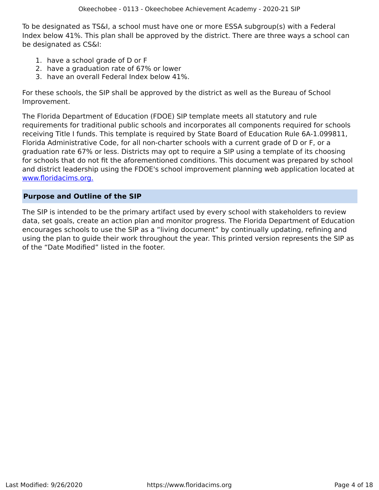To be designated as TS&I, a school must have one or more ESSA subgroup(s) with a Federal Index below 41%. This plan shall be approved by the district. There are three ways a school can be designated as CS&I:

- 1. have a school grade of D or F
- 2. have a graduation rate of 67% or lower
- 3. have an overall Federal Index below 41%.

For these schools, the SIP shall be approved by the district as well as the Bureau of School Improvement.

The Florida Department of Education (FDOE) SIP template meets all statutory and rule requirements for traditional public schools and incorporates all components required for schools receiving Title I funds. This template is required by State Board of Education Rule 6A-1.099811, Florida Administrative Code, for all non-charter schools with a current grade of D or F, or a graduation rate 67% or less. Districts may opt to require a SIP using a template of its choosing for schools that do not fit the aforementioned conditions. This document was prepared by school and district leadership using the FDOE's school improvement planning web application located at [www.floridacims.org.](https://www.floridacims.org)

# <span id="page-3-0"></span>**Purpose and Outline of the SIP**

The SIP is intended to be the primary artifact used by every school with stakeholders to review data, set goals, create an action plan and monitor progress. The Florida Department of Education encourages schools to use the SIP as a "living document" by continually updating, refining and using the plan to guide their work throughout the year. This printed version represents the SIP as of the "Date Modified" listed in the footer.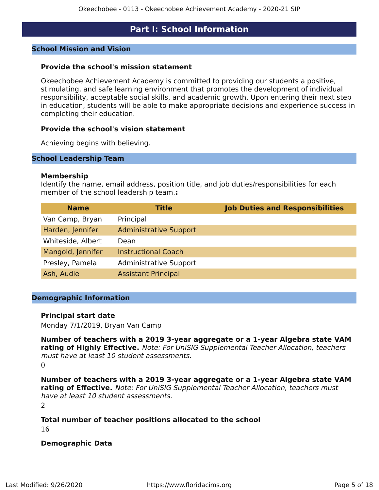# **Part I: School Information**

#### <span id="page-4-0"></span>**School Mission and Vision**

#### **Provide the school's mission statement**

Okeechobee Achievement Academy is committed to providing our students a positive, stimulating, and safe learning environment that promotes the development of individual responsibility, acceptable social skills, and academic growth. Upon entering their next step in education, students will be able to make appropriate decisions and experience success in completing their education.

#### **Provide the school's vision statement**

Achieving begins with believing.

#### **School Leadership Team**

#### **Membership**

Identify the name, email address, position title, and job duties/responsibilities for each member of the school leadership team.**:**

| <b>Name</b>       | <b>Title</b>                  | <b>Job Duties and Responsibilities</b> |
|-------------------|-------------------------------|----------------------------------------|
| Van Camp, Bryan   | Principal                     |                                        |
| Harden, Jennifer  | <b>Administrative Support</b> |                                        |
| Whiteside, Albert | Dean                          |                                        |
| Mangold, Jennifer | <b>Instructional Coach</b>    |                                        |
| Presley, Pamela   | <b>Administrative Support</b> |                                        |
| Ash, Audie        | <b>Assistant Principal</b>    |                                        |

#### **Demographic Information**

#### **Principal start date**

Monday 7/1/2019, Bryan Van Camp

**Number of teachers with a 2019 3-year aggregate or a 1-year Algebra state VAM rating of Highly Effective.** Note: For UniSIG Supplemental Teacher Allocation, teachers must have at least 10 student assessments.  $\Omega$ 

**Number of teachers with a 2019 3-year aggregate or a 1-year Algebra state VAM rating of Effective.** Note: For UniSIG Supplemental Teacher Allocation, teachers must have at least 10 student assessments.

2

**Total number of teacher positions allocated to the school** 16

#### **Demographic Data**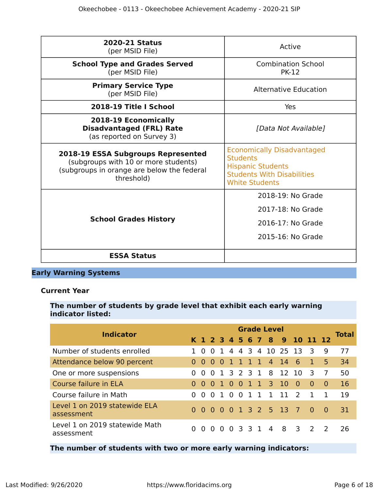| <b>2020-21 Status</b><br>(per MSID File)                                                                                               | Active                                                                                                                                         |
|----------------------------------------------------------------------------------------------------------------------------------------|------------------------------------------------------------------------------------------------------------------------------------------------|
| <b>School Type and Grades Served</b><br>(per MSID File)                                                                                | <b>Combination School</b><br><b>PK-12</b>                                                                                                      |
| <b>Primary Service Type</b><br>(per MSID File)                                                                                         | <b>Alternative Education</b>                                                                                                                   |
| 2018-19 Title I School                                                                                                                 | Yes                                                                                                                                            |
| 2018-19 Economically<br><b>Disadvantaged (FRL) Rate</b><br>(as reported on Survey 3)                                                   | [Data Not Available]                                                                                                                           |
| 2018-19 ESSA Subgroups Represented<br>(subgroups with 10 or more students)<br>(subgroups in orange are below the federal<br>threshold) | <b>Economically Disadvantaged</b><br><b>Students</b><br><b>Hispanic Students</b><br><b>Students With Disabilities</b><br><b>White Students</b> |
|                                                                                                                                        | 2018-19: No Grade                                                                                                                              |
|                                                                                                                                        | 2017-18: No Grade                                                                                                                              |
| <b>School Grades History</b>                                                                                                           | 2016-17: No Grade                                                                                                                              |
|                                                                                                                                        | 2015-16: No Grade                                                                                                                              |
| <b>ESSA Status</b>                                                                                                                     |                                                                                                                                                |

# **Early Warning Systems**

# **Current Year**

# **The number of students by grade level that exhibit each early warning indicator listed:**

| <b>Indicator</b>                             |          | <b>Grade Level</b> |     |           |                |                |  |     |          |                        |                              |                               |                |              |  |
|----------------------------------------------|----------|--------------------|-----|-----------|----------------|----------------|--|-----|----------|------------------------|------------------------------|-------------------------------|----------------|--------------|--|
|                                              |          |                    |     |           |                |                |  |     |          |                        | K 1 2 3 4 5 6 7 8 9 10 11 12 |                               |                | <b>Total</b> |  |
| Number of students enrolled                  |          | $\Omega$           |     |           |                |                |  |     |          | 0 1 4 4 3 4 10 25 13   |                              | $\overline{\mathbf{3}}$       | - 9            | 77           |  |
| Attendance below 90 percent                  |          | $\Omega$           | - 0 | $\bullet$ | $\overline{1}$ |                |  |     |          | 1 1 1 4 14 6           |                              | $\overline{1}$                | $-5$           | 34           |  |
| One or more suspensions                      | $\Omega$ | $\Omega$           |     |           |                |                |  |     |          | 0 1 3 2 3 1 8 12 10    |                              | $\mathbf{B}$                  | $\overline{7}$ | 50           |  |
| Course failure in ELA                        | $\Omega$ | $\Omega$           | 0   | 10        |                | $\overline{0}$ |  | 1 1 | $3 \t10$ |                        | $\overline{0}$               | $\Omega$                      | $\Omega$       | 16           |  |
| Course failure in Math                       | 0        | $\Omega$           |     | 010       |                | $\overline{0}$ |  |     |          | 1 1 1 1 1 2            |                              | $\overline{1}$                |                | 19           |  |
| Level 1 on 2019 statewide ELA<br>assessment  |          |                    |     |           |                |                |  |     |          | 0 0 0 0 0 1 3 2 5 13 7 |                              | 0 O                           |                | 31           |  |
| Level 1 on 2019 statewide Math<br>assessment | 0        | $\Omega$           |     |           |                |                |  |     |          | 0 0 0 3 3 1 4 8 3      |                              | $\overline{2}$ $\overline{2}$ |                | 26           |  |

**The number of students with two or more early warning indicators:**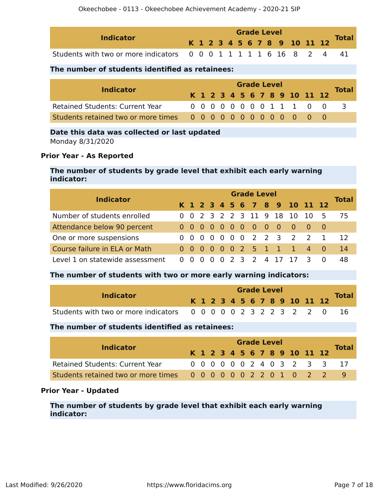| <b>Indicator</b>                                                   |  |  |  | <b>Grade Level</b> |  |  |                              |              |
|--------------------------------------------------------------------|--|--|--|--------------------|--|--|------------------------------|--------------|
|                                                                    |  |  |  |                    |  |  | K 1 2 3 4 5 6 7 8 9 10 11 12 | <b>Total</b> |
| Students with two or more indicators 0 0 0 1 1 1 1 1 6 16 8 2 4 41 |  |  |  |                    |  |  |                              |              |

### **The number of students identified as retainees:**

| <b>Indicator</b>                       | <b>Grade Level</b> |  |  |  |  |  |  |  |  |  |  |                              |  |              |
|----------------------------------------|--------------------|--|--|--|--|--|--|--|--|--|--|------------------------------|--|--------------|
|                                        |                    |  |  |  |  |  |  |  |  |  |  | K 1 2 3 4 5 6 7 8 9 10 11 12 |  | <b>Total</b> |
| <b>Retained Students: Current Year</b> |                    |  |  |  |  |  |  |  |  |  |  | 0000000011100                |  | $\prec$      |
|                                        |                    |  |  |  |  |  |  |  |  |  |  |                              |  |              |

# **Date this data was collected or last updated**

Monday 8/31/2020

#### **Prior Year - As Reported**

### **The number of students by grade level that exhibit each early warning indicator:**

| <b>Indicator</b>                |  | <b>Grade Level</b> |  |  |  |  |  |  |  |  |  |                               |  |              |  |  |
|---------------------------------|--|--------------------|--|--|--|--|--|--|--|--|--|-------------------------------|--|--------------|--|--|
|                                 |  |                    |  |  |  |  |  |  |  |  |  | K 1 2 3 4 5 6 7 8 9 10 11 12  |  | <b>Total</b> |  |  |
| Number of students enrolled     |  |                    |  |  |  |  |  |  |  |  |  | 0 0 2 3 2 2 3 11 9 18 10 10 5 |  | 75           |  |  |
| Attendance below 90 percent     |  |                    |  |  |  |  |  |  |  |  |  |                               |  |              |  |  |
| One or more suspensions         |  |                    |  |  |  |  |  |  |  |  |  | 0 0 0 0 0 0 0 2 2 3 2 2 1     |  | 12           |  |  |
| Course failure in ELA or Math   |  |                    |  |  |  |  |  |  |  |  |  | 0 0 0 0 0 0 2 5 1 1 1 4 0     |  | 14           |  |  |
| Level 1 on statewide assessment |  |                    |  |  |  |  |  |  |  |  |  | 0 0 0 0 0 2 3 2 4 17 17 3 0   |  | 48           |  |  |

# **The number of students with two or more early warning indicators:**

|                                                                |  |  |  | <b>Grade Level</b> |  |  |                              |              |
|----------------------------------------------------------------|--|--|--|--------------------|--|--|------------------------------|--------------|
| <b>Indicator</b>                                               |  |  |  |                    |  |  | K 1 2 3 4 5 6 7 8 9 10 11 12 | <b>Total</b> |
| Students with two or more indicators 0 0 0 0 0 2 3 2 2 3 2 2 0 |  |  |  |                    |  |  |                              |              |

# **The number of students identified as retainees:**

| <b>Indicator</b>                                                | <b>Grade Level</b> |  |  |  |  |  |  |  |  |  |  |                              |  |                              |
|-----------------------------------------------------------------|--------------------|--|--|--|--|--|--|--|--|--|--|------------------------------|--|------------------------------|
|                                                                 |                    |  |  |  |  |  |  |  |  |  |  | K 1 2 3 4 5 6 7 8 9 10 11 12 |  | <b>Total</b>                 |
| <b>Retained Students: Current Year</b>                          |                    |  |  |  |  |  |  |  |  |  |  |                              |  | 0 0 0 0 0 0 2 4 0 3 2 3 3 17 |
| Students retained two or more times 0 0 0 0 0 0 2 2 0 1 0 2 2 9 |                    |  |  |  |  |  |  |  |  |  |  |                              |  |                              |

#### **Prior Year - Updated**

**The number of students by grade level that exhibit each early warning indicator:**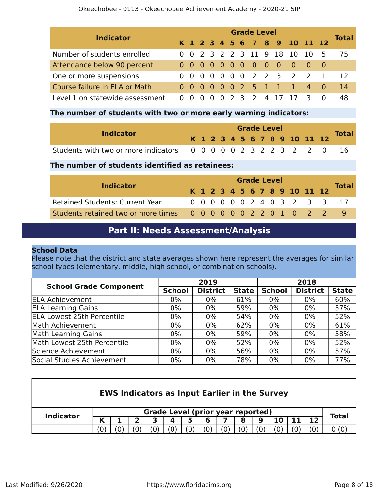#### Okeechobee - 0113 - Okeechobee Achievement Academy - 2020-21 SIP

| <b>Indicator</b>                | <b>Grade Level</b> |     |  |                |                |  |  |                     |  |               |  |                                         |  |              |  |
|---------------------------------|--------------------|-----|--|----------------|----------------|--|--|---------------------|--|---------------|--|-----------------------------------------|--|--------------|--|
|                                 |                    |     |  |                |                |  |  |                     |  |               |  | K 1 2 3 4 5 6 7 8 9 10 11 12            |  | <b>Total</b> |  |
| Number of students enrolled     |                    |     |  |                |                |  |  |                     |  |               |  | 0 0 2 3 2 2 3 11 9 18 10 10 5           |  | 75           |  |
| Attendance below 90 percent     |                    |     |  |                |                |  |  | 0 0 0 0 0 0 0 0 0 0 |  |               |  | $\begin{matrix} 0 & 0 & 0 \end{matrix}$ |  |              |  |
| One or more suspensions         |                    |     |  |                |                |  |  |                     |  |               |  | 0 0 0 0 0 0 0 2 2 3 2 2 1               |  | 12           |  |
| Course failure in ELA or Math   |                    |     |  |                |                |  |  |                     |  |               |  | 0 0 0 0 0 0 2 5 1 1 1 4 0               |  | 14           |  |
| Level 1 on statewide assessment |                    | 0 O |  | $\overline{0}$ | $\overline{0}$ |  |  |                     |  | 2 3 2 4 17 17 |  |                                         |  | 48           |  |

#### **The number of students with two or more early warning indicators:**

| <b>Indicator</b>                                                  |  |  |  |  | <b>Grade Level</b> |                              |  | <b>Total</b> |
|-------------------------------------------------------------------|--|--|--|--|--------------------|------------------------------|--|--------------|
|                                                                   |  |  |  |  |                    | K 1 2 3 4 5 6 7 8 9 10 11 12 |  |              |
| Students with two or more indicators 0 0 0 0 0 2 3 2 2 3 2 2 0 16 |  |  |  |  |                    |                              |  |              |

# **The number of students identified as retainees:**

|                                                               | <b>Grade Level</b> |  |  |  |  |  |  |  |  |  |                              |                              |
|---------------------------------------------------------------|--------------------|--|--|--|--|--|--|--|--|--|------------------------------|------------------------------|
| <b>Indicator</b>                                              |                    |  |  |  |  |  |  |  |  |  | K 1 2 3 4 5 6 7 8 9 10 11 12 | <b>Total</b>                 |
| <b>Retained Students: Current Year</b>                        |                    |  |  |  |  |  |  |  |  |  |                              | 0 0 0 0 0 0 2 4 0 3 2 3 3 17 |
| Students retained two or more times 0 0 0 0 0 0 2 2 0 1 0 2 2 |                    |  |  |  |  |  |  |  |  |  |                              |                              |

# **Part II: Needs Assessment/Analysis**

#### <span id="page-7-0"></span>**School Data**

Please note that the district and state averages shown here represent the averages for similar school types (elementary, middle, high school, or combination schools).

| <b>School Grade Component</b>     |               | 2019            |              |               | 2018            |              |
|-----------------------------------|---------------|-----------------|--------------|---------------|-----------------|--------------|
|                                   | <b>School</b> | <b>District</b> | <b>State</b> | <b>School</b> | <b>District</b> | <b>State</b> |
| <b>ELA Achievement</b>            | 0%            | $0\%$           | 61%          | 0%            | $0\%$           | 60%          |
| <b>ELA Learning Gains</b>         | $0\%$         | $0\%$           | 59%          | $0\%$         | $0\%$           | 57%          |
| <b>ELA Lowest 25th Percentile</b> | $0\%$         | $0\%$           | 54%          | $0\%$         | $0\%$           | 52%          |
| Math Achievement                  | 0%            | $0\%$           | 62%          | 0%            | $0\%$           | 61%          |
| Math Learning Gains               | $0\%$         | $0\%$           | 59%          | 0%            | $0\%$           | 58%          |
| Math Lowest 25th Percentile       | $0\%$         | $0\%$           | 52%          | $0\%$         | $0\%$           | 52%          |
| Science Achievement               | 0%            | $0\%$           | 56%          | 0%            | $0\%$           | 57%          |
| Social Studies Achievement        | $0\%$         | $0\%$           | 78%          | 0%            | 0%              | 77%          |

| <b>EWS Indicators as Input Earlier in the Survey</b> |                   |                   |   |                                          |    |                |   |  |    |     |    |    |              |
|------------------------------------------------------|-------------------|-------------------|---|------------------------------------------|----|----------------|---|--|----|-----|----|----|--------------|
| <b>Indicator</b>                                     |                   |                   |   | <b>Grade Level (prior year reported)</b> |    |                |   |  |    |     |    |    | <b>Total</b> |
|                                                      | K                 |                   | כ | 3                                        | 4  | 5              | 6 |  | 8  | 9   | 10 | 12 |              |
|                                                      | $\vert 0 \rangle$ | $\left( 0\right)$ | 0 |                                          | 0) | $\overline{0}$ | 0 |  | (0 | (0) |    |    |              |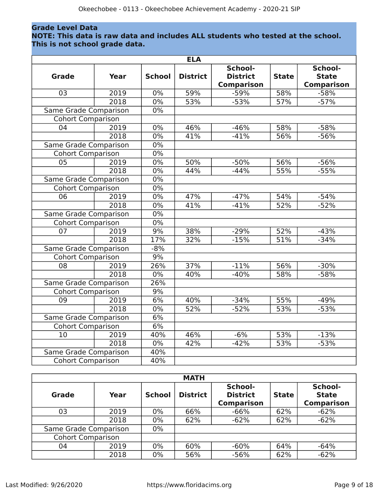# **Grade Level Data**

#### **NOTE: This data is raw data and includes ALL students who tested at the school. This is not school grade data.**

|                          |             |               | <b>ELA</b>      |                                                 |              |                                              |
|--------------------------|-------------|---------------|-----------------|-------------------------------------------------|--------------|----------------------------------------------|
| <b>Grade</b>             | <b>Year</b> | <b>School</b> | <b>District</b> | School-<br><b>District</b><br><b>Comparison</b> | <b>State</b> | School-<br><b>State</b><br><b>Comparison</b> |
| 03                       | 2019        | 0%            | 59%             | $-59%$                                          | 58%          | $-58%$                                       |
|                          | 2018        | 0%            | 53%             | $-53%$                                          | 57%          | $-57%$                                       |
| Same Grade Comparison    |             | 0%            |                 |                                                 |              |                                              |
| <b>Cohort Comparison</b> |             |               |                 |                                                 |              |                                              |
| 04                       | 2019        | 0%            | 46%             | $-46%$                                          | 58%          | $-58%$                                       |
|                          | 2018        | 0%            | 41%             | $-41%$                                          | 56%          | $-56%$                                       |
| Same Grade Comparison    |             | 0%            |                 |                                                 |              |                                              |
| <b>Cohort Comparison</b> |             | $0\%$         |                 |                                                 |              |                                              |
| 05                       | 2019        | $0\%$         | 50%             | $-50%$                                          | 56%          | $-56%$                                       |
|                          | 2018        | $0\%$         | 44%             | $-44%$                                          | 55%          | $-55%$                                       |
| Same Grade Comparison    |             | $0\%$         |                 |                                                 |              |                                              |
| <b>Cohort Comparison</b> |             | 0%            |                 |                                                 |              |                                              |
| 06                       | 2019        | 0%            | 47%             | $-47%$                                          | 54%          | $-54%$                                       |
|                          | 2018        | $0\%$         | 41%             | $-41%$                                          | 52%          | $-52%$                                       |
| Same Grade Comparison    |             | $0\%$         |                 |                                                 |              |                                              |
| <b>Cohort Comparison</b> |             | 0%            |                 |                                                 |              |                                              |
| 07                       | 2019        | 9%            | 38%             | $-29%$                                          | 52%          | $-43%$                                       |
|                          | 2018        | 17%           | 32%             | $-15%$                                          | 51%          | $-34%$                                       |
| Same Grade Comparison    |             | $-8%$         |                 |                                                 |              |                                              |
| <b>Cohort Comparison</b> |             | 9%            |                 |                                                 |              |                                              |
| 08                       | 2019        | 26%           | 37%             | $-11%$                                          | 56%          | $-30%$                                       |
|                          | 2018        | 0%            | 40%             | $-40%$                                          | 58%          | $-58%$                                       |
| Same Grade Comparison    |             | 26%           |                 |                                                 |              |                                              |
| Cohort Comparison        |             | 9%            |                 |                                                 |              |                                              |
| 09                       | 2019        | 6%            | 40%             | $-34%$                                          | 55%          | $-49%$                                       |
|                          | 2018        | $0\%$         | 52%             | $-52%$                                          | 53%          | $-53%$                                       |
| Same Grade Comparison    |             | 6%            |                 |                                                 |              |                                              |
| <b>Cohort Comparison</b> |             | 6%            |                 |                                                 |              |                                              |
| 10                       | 2019        | 40%           | 46%             | $-6%$                                           | 53%          | $-13%$                                       |
|                          | 2018        | $0\%$         | 42%             | $-42%$                                          | 53%          | $-53%$                                       |
| Same Grade Comparison    |             | 40%           |                 |                                                 |              |                                              |
| <b>Cohort Comparison</b> |             | 40%           |                 |                                                 |              |                                              |

|                          |      |               | <b>MATH</b>     |                                                 |              |                                              |
|--------------------------|------|---------------|-----------------|-------------------------------------------------|--------------|----------------------------------------------|
| Grade                    | Year | <b>School</b> | <b>District</b> | School-<br><b>District</b><br><b>Comparison</b> | <b>State</b> | School-<br><b>State</b><br><b>Comparison</b> |
| 03                       | 2019 | 0%            | 66%             | $-66%$                                          | 62%          | $-62%$                                       |
|                          | 2018 | 0%            | 62%             | $-62%$                                          | 62%          | $-62%$                                       |
| Same Grade Comparison    |      | $0\%$         |                 |                                                 |              |                                              |
| <b>Cohort Comparison</b> |      |               |                 |                                                 |              |                                              |
| 04                       | 2019 | 0%            | 60%             | $-60%$                                          | 64%          | $-64%$                                       |
|                          | 2018 | 0%            | 56%             | $-56%$                                          | 62%          | $-62%$                                       |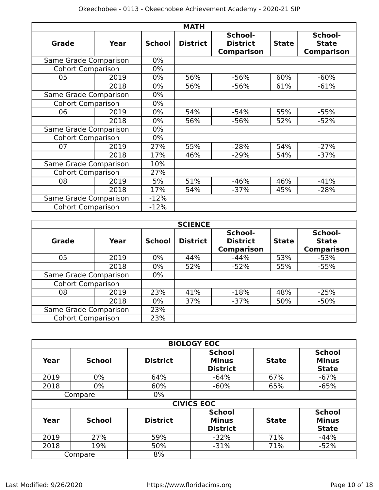|                          |      |               | <b>MATH</b>     |                                                 |              |                                              |
|--------------------------|------|---------------|-----------------|-------------------------------------------------|--------------|----------------------------------------------|
| <b>Grade</b>             | Year | <b>School</b> | <b>District</b> | School-<br><b>District</b><br><b>Comparison</b> | <b>State</b> | School-<br><b>State</b><br><b>Comparison</b> |
| Same Grade Comparison    |      | $0\%$         |                 |                                                 |              |                                              |
| <b>Cohort Comparison</b> |      | $0\%$         |                 |                                                 |              |                                              |
| 05                       | 2019 | $0\%$         | 56%             | $-56%$                                          | 60%          | $-60%$                                       |
|                          | 2018 | $0\%$         | 56%             | $-56%$                                          | 61%          | $-61%$                                       |
| Same Grade Comparison    |      | $0\%$         |                 |                                                 |              |                                              |
| <b>Cohort Comparison</b> |      | $0\%$         |                 |                                                 |              |                                              |
| 06                       | 2019 | $0\%$         | 54%             | $-54%$                                          | 55%          | $-55%$                                       |
|                          | 2018 | $0\%$         | 56%             | $-56%$                                          | 52%          | $-52%$                                       |
| Same Grade Comparison    |      | $0\%$         |                 |                                                 |              |                                              |
| <b>Cohort Comparison</b> |      | $0\%$         |                 |                                                 |              |                                              |
| 07                       | 2019 | 27%           | 55%             | $-28%$                                          | 54%          | $-27%$                                       |
|                          | 2018 | 17%           | 46%             | $-29%$                                          | 54%          | $-37%$                                       |
| Same Grade Comparison    |      | 10%           |                 |                                                 |              |                                              |
| <b>Cohort Comparison</b> |      | 27%           |                 |                                                 |              |                                              |
| 08                       | 2019 | 5%            | 51%             | $-46%$                                          | 46%          | $-41%$                                       |
| 2018                     |      | 17%           | 54%             | $-37%$                                          | 45%          | $-28%$                                       |
| Same Grade Comparison    |      | $-12%$        |                 |                                                 |              |                                              |
| <b>Cohort Comparison</b> |      | $-12%$        |                 |                                                 |              |                                              |

|                          |      |               | <b>SCIENCE</b>  |                                                 |              |                                              |
|--------------------------|------|---------------|-----------------|-------------------------------------------------|--------------|----------------------------------------------|
| Grade                    | Year | <b>School</b> | <b>District</b> | School-<br><b>District</b><br><b>Comparison</b> | <b>State</b> | School-<br><b>State</b><br><b>Comparison</b> |
| 05                       | 2019 | $0\%$         | 44%             | $-44%$                                          | 53%          | $-53%$                                       |
|                          | 2018 | 0%            | 52%             | $-52%$                                          | 55%          | $-55%$                                       |
| Same Grade Comparison    |      | $0\%$         |                 |                                                 |              |                                              |
| <b>Cohort Comparison</b> |      |               |                 |                                                 |              |                                              |
| 08                       | 2019 | 23%           | 41%             | $-18%$                                          | 48%          | $-25%$                                       |
|                          | 2018 | 0%            | 37%             | $-37%$                                          | 50%          | $-50%$                                       |
| Same Grade Comparison    | 23%  |               |                 |                                                 |              |                                              |
| <b>Cohort Comparison</b> |      | 23%           |                 |                                                 |              |                                              |

|      |               |                 | <b>BIOLOGY EOC</b>                               |              |                                               |
|------|---------------|-----------------|--------------------------------------------------|--------------|-----------------------------------------------|
| Year | <b>School</b> | <b>District</b> | <b>School</b><br><b>Minus</b><br><b>District</b> | <b>State</b> | <b>School</b><br><b>Minus</b><br><b>State</b> |
| 2019 | $0\%$         | 64%             | $-64%$                                           | 67%          | $-67%$                                        |
| 2018 | $0\%$         | 60%             | $-60%$                                           | 65%          | $-65%$                                        |
|      | Compare       | $0\%$           |                                                  |              |                                               |
|      |               |                 | <b>CIVICS EOC</b>                                |              |                                               |
| Year | <b>School</b> | <b>District</b> | <b>School</b><br><b>Minus</b><br><b>District</b> | <b>State</b> | <b>School</b><br><b>Minus</b><br><b>State</b> |
| 2019 | 27%           | 59%             | $-32%$                                           | 71%          | $-44%$                                        |
| 2018 | 19%           | 50%             | $-31%$                                           | 71%          | $-52%$                                        |
|      | Compare       | 8%              |                                                  |              |                                               |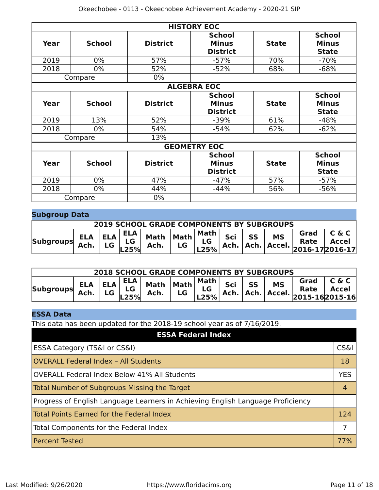|      |               |                 | <b>HISTORY EOC</b>                               |              |                                               |
|------|---------------|-----------------|--------------------------------------------------|--------------|-----------------------------------------------|
| Year | <b>School</b> | <b>District</b> | <b>School</b><br><b>Minus</b><br><b>District</b> | <b>State</b> | <b>School</b><br><b>Minus</b><br><b>State</b> |
| 2019 | $0\%$         | 57%             | $-57%$                                           | 70%          | $-70%$                                        |
| 2018 | $0\%$         | 52%             | $-52%$                                           | 68%          | $-68%$                                        |
|      | Compare       | $0\%$           |                                                  |              |                                               |
|      |               |                 | <b>ALGEBRA EOC</b>                               |              |                                               |
| Year | <b>School</b> | <b>District</b> | <b>School</b><br><b>Minus</b><br><b>District</b> | <b>State</b> | <b>School</b><br><b>Minus</b><br><b>State</b> |
| 2019 | 13%           | 52%             | $-39%$                                           | 61%          | $-48%$                                        |
| 2018 | $0\%$         | 54%             | $-54%$                                           | 62%          | $-62%$                                        |
|      | Compare       | 13%             |                                                  |              |                                               |
|      |               |                 | <b>GEOMETRY EOC</b>                              |              |                                               |
| Year | <b>School</b> | <b>District</b> | <b>School</b><br><b>Minus</b><br><b>District</b> | <b>State</b> | <b>School</b><br><b>Minus</b><br><b>State</b> |
| 2019 | $0\%$         | 47%             | $-47%$                                           | 57%          | $-57%$                                        |
| 2018 | $0\%$         | 44%             | $-44%$                                           | 56%          | $-56%$                                        |
|      | Compare       | $0\%$           |                                                  |              |                                               |

# **Subgroup Data**

| <b>2019 SCHOOL GRADE COMPONENTS BY SUBGROUPS</b> |  |  |  |  |  |  |  |  |  |                                                                                                          |  |
|--------------------------------------------------|--|--|--|--|--|--|--|--|--|----------------------------------------------------------------------------------------------------------|--|
| <b>Subgroups</b>                                 |  |  |  |  |  |  |  |  |  | ELA ELA ELA Math Math Math Sci SS MS Grad C & C<br>Ach. LG LG Ach. LG LG Ach. Ach. Accel. 2016-172016-17 |  |

| <b>2018 SCHOOL GRADE COMPONENTS BY SUBGROUPS</b><br>$\angle$ ELA ELA $\frac{ELA}{LG}$ Math Math $\begin{vmatrix} \text{Math} \\ \text{Left} \end{vmatrix}$ Sci SS $\begin{vmatrix} \text{N1} \\ \text{Ach} \end{vmatrix}$ Kate $\angle$ Rath $\angle$ Ach. |  |  |  |  |  |  |  |  |  |  |  |
|------------------------------------------------------------------------------------------------------------------------------------------------------------------------------------------------------------------------------------------------------------|--|--|--|--|--|--|--|--|--|--|--|
| <b>Subgroups</b>                                                                                                                                                                                                                                           |  |  |  |  |  |  |  |  |  |  |  |

# **ESSA Data**

This data has been updated for the 2018-19 school year as of 7/16/2019.

| <b>ESSA Federal Index</b>                                                       |                 |
|---------------------------------------------------------------------------------|-----------------|
| ESSA Category (TS&I or CS&I)                                                    | <b>CS&amp;I</b> |
| <b>OVERALL Federal Index - All Students</b>                                     | 18              |
| OVERALL Federal Index Below 41% All Students                                    | <b>YES</b>      |
| Total Number of Subgroups Missing the Target                                    | 4               |
| Progress of English Language Learners in Achieving English Language Proficiency |                 |
| <b>Total Points Earned for the Federal Index</b>                                | 124             |
| Total Components for the Federal Index                                          | 7               |
| <b>Percent Tested</b>                                                           | 77%             |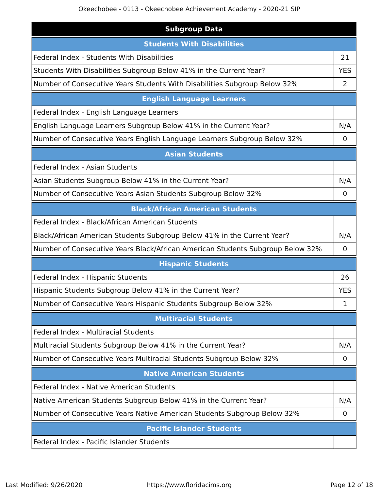| <b>Subgroup Data</b>                                                           |             |  |  |
|--------------------------------------------------------------------------------|-------------|--|--|
| <b>Students With Disabilities</b>                                              |             |  |  |
| <b>Federal Index - Students With Disabilities</b>                              | 21          |  |  |
| Students With Disabilities Subgroup Below 41% in the Current Year?             |             |  |  |
| Number of Consecutive Years Students With Disabilities Subgroup Below 32%      | 2           |  |  |
| <b>English Language Learners</b>                                               |             |  |  |
| Federal Index - English Language Learners                                      |             |  |  |
| English Language Learners Subgroup Below 41% in the Current Year?              | N/A         |  |  |
| Number of Consecutive Years English Language Learners Subgroup Below 32%       | $\mathbf 0$ |  |  |
| <b>Asian Students</b>                                                          |             |  |  |
| Federal Index - Asian Students                                                 |             |  |  |
| Asian Students Subgroup Below 41% in the Current Year?                         | N/A         |  |  |
| Number of Consecutive Years Asian Students Subgroup Below 32%                  | 0           |  |  |
| <b>Black/African American Students</b>                                         |             |  |  |
| Federal Index - Black/African American Students                                |             |  |  |
| Black/African American Students Subgroup Below 41% in the Current Year?        | N/A         |  |  |
| Number of Consecutive Years Black/African American Students Subgroup Below 32% |             |  |  |
| <b>Hispanic Students</b>                                                       |             |  |  |
| Federal Index - Hispanic Students                                              | 26          |  |  |
| Hispanic Students Subgroup Below 41% in the Current Year?                      | <b>YES</b>  |  |  |
| Number of Consecutive Years Hispanic Students Subgroup Below 32%               | 1           |  |  |
| <b>Multiracial Students</b>                                                    |             |  |  |
| <b>Federal Index - Multiracial Students</b>                                    |             |  |  |
| Multiracial Students Subgroup Below 41% in the Current Year?                   | N/A         |  |  |
| Number of Consecutive Years Multiracial Students Subgroup Below 32%            | $\mathbf 0$ |  |  |
| <b>Native American Students</b>                                                |             |  |  |
| Federal Index - Native American Students                                       |             |  |  |
| Native American Students Subgroup Below 41% in the Current Year?               | N/A         |  |  |
| Number of Consecutive Years Native American Students Subgroup Below 32%        | $\mathbf 0$ |  |  |
| <b>Pacific Islander Students</b>                                               |             |  |  |
| Federal Index - Pacific Islander Students                                      |             |  |  |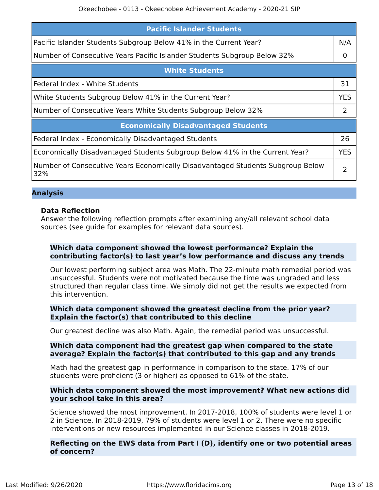| <b>Pacific Islander Students</b>                                                      |            |  |
|---------------------------------------------------------------------------------------|------------|--|
| Pacific Islander Students Subgroup Below 41% in the Current Year?                     | N/A        |  |
| Number of Consecutive Years Pacific Islander Students Subgroup Below 32%              |            |  |
| <b>White Students</b>                                                                 |            |  |
| Federal Index - White Students                                                        | 31         |  |
| White Students Subgroup Below 41% in the Current Year?                                |            |  |
| Number of Consecutive Years White Students Subgroup Below 32%                         |            |  |
| <b>Economically Disadvantaged Students</b>                                            |            |  |
| Federal Index - Economically Disadvantaged Students                                   | 26         |  |
| Economically Disadvantaged Students Subgroup Below 41% in the Current Year?           | <b>YES</b> |  |
| Number of Consecutive Years Economically Disadvantaged Students Subgroup Below<br>32% | フ          |  |

#### **Analysis**

#### **Data Reflection**

Answer the following reflection prompts after examining any/all relevant school data sources (see guide for examples for relevant data sources).

#### **Which data component showed the lowest performance? Explain the contributing factor(s) to last year's low performance and discuss any trends**

Our lowest performing subject area was Math. The 22-minute math remedial period was unsuccessful. Students were not motivated because the time was ungraded and less structured than regular class time. We simply did not get the results we expected from this intervention.

#### **Which data component showed the greatest decline from the prior year? Explain the factor(s) that contributed to this decline**

Our greatest decline was also Math. Again, the remedial period was unsuccessful.

#### **Which data component had the greatest gap when compared to the state average? Explain the factor(s) that contributed to this gap and any trends**

Math had the greatest gap in performance in comparison to the state. 17% of our students were proficient (3 or higher) as opposed to 61% of the state.

#### **Which data component showed the most improvement? What new actions did your school take in this area?**

Science showed the most improvement. In 2017-2018, 100% of students were level 1 or 2 in Science. In 2018-2019, 79% of students were level 1 or 2. There were no specific interventions or new resources implemented in our Science classes in 2018-2019.

#### **Reflecting on the EWS data from Part I (D), identify one or two potential areas of concern?**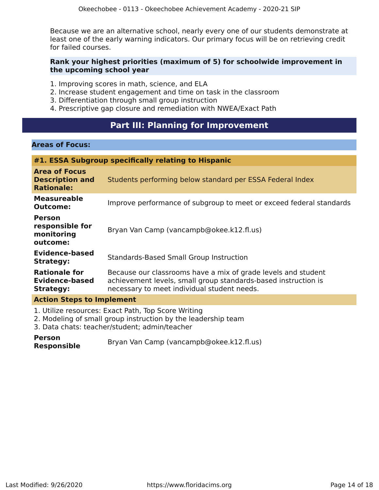Because we are an alternative school, nearly every one of our students demonstrate at least one of the early warning indicators. Our primary focus will be on retrieving credit for failed courses.

#### **Rank your highest priorities (maximum of 5) for schoolwide improvement in the upcoming school year**

- 1. Improving scores in math, science, and ELA
- 2. Increase student engagement and time on task in the classroom
- 3. Differentiation through small group instruction
- 4. Prescriptive gap closure and remediation with NWEA/Exact Path

# **Part III: Planning for Improvement**

#### <span id="page-13-0"></span>**Areas of Focus:**

| #1. ESSA Subgroup specifically relating to Hispanic                 |                                                                                                                                                                                |  |
|---------------------------------------------------------------------|--------------------------------------------------------------------------------------------------------------------------------------------------------------------------------|--|
| <b>Area of Focus</b><br><b>Description and</b><br><b>Rationale:</b> | Students performing below standard per ESSA Federal Index                                                                                                                      |  |
| <b>Measureable</b><br><b>Outcome:</b>                               | Improve performance of subgroup to meet or exceed federal standards                                                                                                            |  |
| <b>Person</b><br>responsible for<br>monitoring<br>outcome:          | Bryan Van Camp (vancampb@okee.k12.fl.us)                                                                                                                                       |  |
| <b>Evidence-based</b><br><b>Strategy:</b>                           | <b>Standards-Based Small Group Instruction</b>                                                                                                                                 |  |
| <b>Rationale for</b><br>Evidence-based<br><b>Strategy:</b>          | Because our classrooms have a mix of grade levels and student<br>achievement levels, small group standards-based instruction is<br>necessary to meet individual student needs. |  |
| <b>Action Steps to Implement</b>                                    |                                                                                                                                                                                |  |

1. Utilize resources: Exact Path, Top Score Writing

2. Modeling of small group instruction by the leadership team

3. Data chats: teacher/student; admin/teacher

**Person Responsible** Bryan Van Camp (vancampb@okee.k12.fl.us)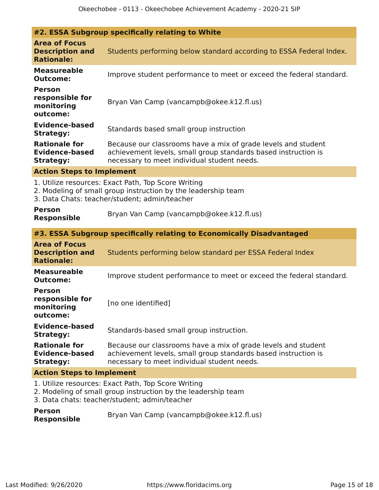| #2. ESSA Subgroup specifically relating to White                                                                                                                      |                                                                                                                                                                                |  |  |
|-----------------------------------------------------------------------------------------------------------------------------------------------------------------------|--------------------------------------------------------------------------------------------------------------------------------------------------------------------------------|--|--|
| <b>Area of Focus</b><br><b>Description and</b><br><b>Rationale:</b>                                                                                                   | Students performing below standard according to ESSA Federal Index.                                                                                                            |  |  |
| <b>Measureable</b><br><b>Outcome:</b>                                                                                                                                 | Improve student performance to meet or exceed the federal standard.                                                                                                            |  |  |
| <b>Person</b><br>responsible for<br>monitoring<br>outcome:                                                                                                            | Bryan Van Camp (vancampb@okee.k12.fl.us)                                                                                                                                       |  |  |
| <b>Evidence-based</b><br><b>Strategy:</b>                                                                                                                             | Standards based small group instruction                                                                                                                                        |  |  |
| <b>Rationale for</b><br><b>Evidence-based</b><br><b>Strategy:</b>                                                                                                     | Because our classrooms have a mix of grade levels and student<br>achievement levels, small group standards based instruction is<br>necessary to meet individual student needs. |  |  |
| <b>Action Steps to Implement</b>                                                                                                                                      |                                                                                                                                                                                |  |  |
| 1. Utilize resources: Exact Path, Top Score Writing<br>2. Modeling of small group instruction by the leadership team<br>3. Data Chats: teacher/student; admin/teacher |                                                                                                                                                                                |  |  |
| <b>Person</b>                                                                                                                                                         |                                                                                                                                                                                |  |  |
| <b>Responsible</b>                                                                                                                                                    | Bryan Van Camp (vancampb@okee.k12.fl.us)                                                                                                                                       |  |  |
|                                                                                                                                                                       | #3. ESSA Subgroup specifically relating to Economically Disadvantaged                                                                                                          |  |  |
| <b>Area of Focus</b><br><b>Description and</b><br><b>Rationale:</b>                                                                                                   | Students performing below standard per ESSA Federal Index                                                                                                                      |  |  |
| <b>Measureable</b><br><b>Outcome:</b>                                                                                                                                 | Improve student performance to meet or exceed the federal standard.                                                                                                            |  |  |
| <b>Person</b><br>responsible for<br>monitoring<br>outcome:                                                                                                            | [no one identified]                                                                                                                                                            |  |  |
| Evidence-based<br><b>Strategy:</b>                                                                                                                                    | Standards-based small group instruction.                                                                                                                                       |  |  |
| <b>Rationale for</b><br><b>Evidence-based</b><br><b>Strategy:</b>                                                                                                     | Because our classrooms have a mix of grade levels and student<br>achievement levels, small group standards based instruction is<br>necessary to meet individual student needs. |  |  |
| <b>Action Steps to Implement</b>                                                                                                                                      |                                                                                                                                                                                |  |  |

| <b>Person</b>      | Bryan Van Camp (vancampb@okee.k12.fl.us) |
|--------------------|------------------------------------------|
| <b>Responsible</b> |                                          |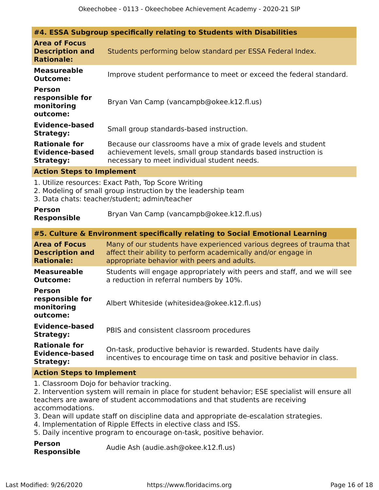|                                                                                                                                                                       | #4. ESSA Subgroup specifically relating to Students with Disabilities                                                                                                                |  |  |
|-----------------------------------------------------------------------------------------------------------------------------------------------------------------------|--------------------------------------------------------------------------------------------------------------------------------------------------------------------------------------|--|--|
| <b>Area of Focus</b><br><b>Description and</b><br><b>Rationale:</b>                                                                                                   | Students performing below standard per ESSA Federal Index.                                                                                                                           |  |  |
| <b>Measureable</b><br><b>Outcome:</b>                                                                                                                                 | Improve student performance to meet or exceed the federal standard.                                                                                                                  |  |  |
| <b>Person</b><br>responsible for<br>monitoring<br>outcome:                                                                                                            | Bryan Van Camp (vancampb@okee.k12.fl.us)                                                                                                                                             |  |  |
| <b>Evidence-based</b><br><b>Strategy:</b>                                                                                                                             | Small group standards-based instruction.                                                                                                                                             |  |  |
| <b>Rationale for</b><br><b>Evidence-based</b><br><b>Strategy:</b>                                                                                                     | Because our classrooms have a mix of grade levels and student<br>achievement levels, small group standards based instruction is<br>necessary to meet individual student needs.       |  |  |
| <b>Action Steps to Implement</b>                                                                                                                                      |                                                                                                                                                                                      |  |  |
| 1. Utilize resources: Exact Path, Top Score Writing<br>2. Modeling of small group instruction by the leadership team<br>3. Data chats: teacher/student; admin/teacher |                                                                                                                                                                                      |  |  |
| <b>Person</b><br><b>Responsible</b>                                                                                                                                   | Bryan Van Camp (vancampb@okee.k12.fl.us)                                                                                                                                             |  |  |
|                                                                                                                                                                       | #5. Culture & Environment specifically relating to Social Emotional Learning                                                                                                         |  |  |
| <b>Area of Focus</b><br><b>Description and</b><br><b>Rationale:</b>                                                                                                   | Many of our students have experienced various degrees of trauma that<br>affect their ability to perform academically and/or engage in<br>appropriate behavior with peers and adults. |  |  |
| <b>Measureable</b><br><b>Outcome:</b>                                                                                                                                 | Students will engage appropriately with peers and staff, and we will see<br>a reduction in referral numbers by 10%.                                                                  |  |  |
| <b>Person</b><br>responsible for<br>monitoring<br>outcome:                                                                                                            | Albert Whiteside (whitesidea@okee.k12.fl.us)                                                                                                                                         |  |  |
| <b>Evidence-based</b><br><b>Strategy:</b>                                                                                                                             | PBIS and consistent classroom procedures                                                                                                                                             |  |  |
| <b>Rationale for</b><br><b>Evidence-based</b><br><b>Strategy:</b>                                                                                                     | On-task, productive behavior is rewarded. Students have daily<br>incentives to encourage time on task and positive behavior in class.                                                |  |  |
| <b>Action Steps to Implement</b>                                                                                                                                      |                                                                                                                                                                                      |  |  |
| 1. Classroom Dojo for behavior tracking.                                                                                                                              |                                                                                                                                                                                      |  |  |

2. Intervention system will remain in place for student behavior; ESE specialist will ensure all teachers are aware of student accommodations and that students are receiving accommodations.

- 3. Dean will update staff on discipline data and appropriate de-escalation strategies.
- 4. Implementation of Ripple Effects in elective class and ISS.
- 5. Daily incentive program to encourage on-task, positive behavior.

| <b>Person</b>      | Audie Ash (audie.ash@okee.k12.fl.us) |
|--------------------|--------------------------------------|
| <b>Responsible</b> |                                      |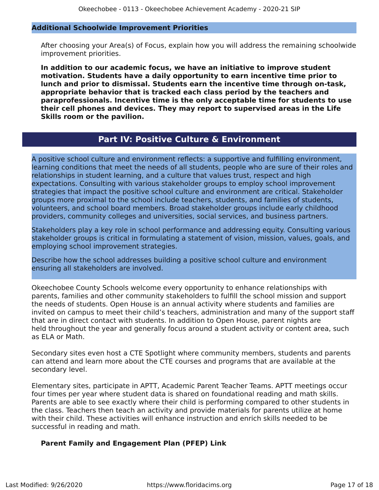#### **Additional Schoolwide Improvement Priorities**

After choosing your Area(s) of Focus, explain how you will address the remaining schoolwide improvement priorities.

**In addition to our academic focus, we have an initiative to improve student motivation. Students have a daily opportunity to earn incentive time prior to lunch and prior to dismissal. Students earn the incentive time through on-task, appropriate behavior that is tracked each class period by the teachers and paraprofessionals. Incentive time is the only acceptable time for students to use their cell phones and devices. They may report to supervised areas in the Life Skills room or the pavilion.**

# **Part IV: Positive Culture & Environment**

<span id="page-16-0"></span>A positive school culture and environment reflects: a supportive and fulfilling environment, learning conditions that meet the needs of all students, people who are sure of their roles and relationships in student learning, and a culture that values trust, respect and high expectations. Consulting with various stakeholder groups to employ school improvement strategies that impact the positive school culture and environment are critical. Stakeholder groups more proximal to the school include teachers, students, and families of students, volunteers, and school board members. Broad stakeholder groups include early childhood providers, community colleges and universities, social services, and business partners.

Stakeholders play a key role in school performance and addressing equity. Consulting various stakeholder groups is critical in formulating a statement of vision, mission, values, goals, and employing school improvement strategies.

Describe how the school addresses building a positive school culture and environment ensuring all stakeholders are involved.

Okeechobee County Schools welcome every opportunity to enhance relationships with parents, families and other community stakeholders to fulfill the school mission and support the needs of students. Open House is an annual activity where students and families are invited on campus to meet their child's teachers, administration and many of the support staff that are in direct contact with students. In addition to Open House, parent nights are held throughout the year and generally focus around a student activity or content area, such as ELA or Math.

Secondary sites even host a CTE Spotlight where community members, students and parents can attend and learn more about the CTE courses and programs that are available at the secondary level.

Elementary sites, participate in APTT, Academic Parent Teacher Teams. APTT meetings occur four times per year where student data is shared on foundational reading and math skills. Parents are able to see exactly where their child is performing compared to other students in the class. Teachers then teach an activity and provide materials for parents utilize at home with their child. These activities will enhance instruction and enrich skills needed to be successful in reading and math.

#### **Parent Family and Engagement Plan (PFEP) Link**